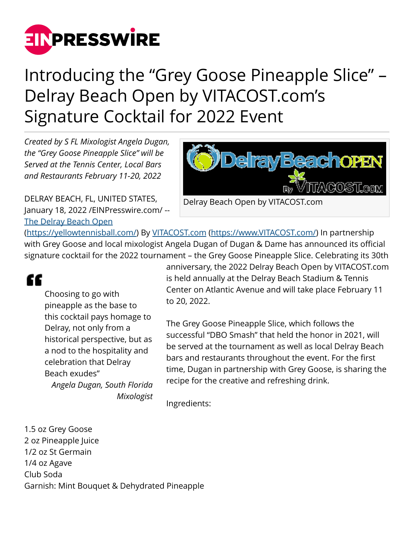

## Introducing the "Grey Goose Pineapple Slice" – Delray Beach Open by VITACOST.com's Signature Cocktail for 2022 Event

*Created by S FL Mixologist Angela Dugan, the "Grey Goose Pineapple Slice" will be Served at the Tennis Center, Local Bars and Restaurants February 11-20, 2022*

DELRAY BEACH, FL, UNITED STATES, January 18, 2022 /[EINPresswire.com](http://www.einpresswire.com)/ -- [The Delray Beach Open](https://yellowtennisball.com/)

**DelrayBeachoPEN** 7ACOST.com Delray Beach Open by VITACOST.com

([https://yellowtennisball.com/\)](https://yellowtennisball.com/) By [VITACOST.com](http://VITACOST.com) [\(https://www.VITACOST.com/](https://www.VITACOST.com/)) In partnership with Grey Goose and local mixologist Angela Dugan of Dugan & Dame has announced its official signature cocktail for the 2022 tournament – the Grey Goose Pineapple Slice. Celebrating its 30th

## ££

Choosing to go with pineapple as the base to this cocktail pays homage to Delray, not only from a historical perspective, but as a nod to the hospitality and celebration that Delray Beach exudes" *Angela Dugan, South Florida Mixologist*

anniversary, the 2022 Delray Beach Open by VITACOST.com is held annually at the Delray Beach Stadium & Tennis Center on Atlantic Avenue and will take place February 11 to 20, 2022.

The Grey Goose Pineapple Slice, which follows the successful "DBO Smash" that held the honor in 2021, will be served at the tournament as well as local Delray Beach bars and restaurants throughout the event. For the first time, Dugan in partnership with Grey Goose, is sharing the recipe for the creative and refreshing drink.

Ingredients:

1.5 oz Grey Goose 2 oz Pineapple Juice 1/2 oz St Germain 1/4 oz Agave Club Soda Garnish: Mint Bouquet & Dehydrated Pineapple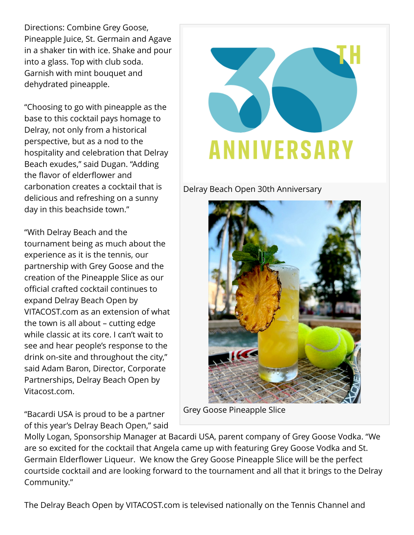Directions: Combine Grey Goose, Pineapple Juice, St. Germain and Agave in a shaker tin with ice. Shake and pour into a glass. Top with club soda. Garnish with mint bouquet and dehydrated pineapple.

"Choosing to go with pineapple as the base to this cocktail pays homage to Delray, not only from a historical perspective, but as a nod to the hospitality and celebration that Delray Beach exudes," said Dugan. "Adding the flavor of elderflower and carbonation creates a cocktail that is delicious and refreshing on a sunny day in this beachside town."

"With Delray Beach and the tournament being as much about the experience as it is the tennis, our partnership with Grey Goose and the creation of the Pineapple Slice as our official crafted cocktail continues to expand Delray Beach Open by VITACOST.com as an extension of what the town is all about – cutting edge while classic at its core. I can't wait to see and hear people's response to the drink on-site and throughout the city," said Adam Baron, Director, Corporate Partnerships, Delray Beach Open by Vitacost.com.

"Bacardi USA is proud to be a partner of this year's Delray Beach Open," said



Delray Beach Open 30th Anniversary



Grey Goose Pineapple Slice

Molly Logan, Sponsorship Manager at Bacardi USA, parent company of Grey Goose Vodka. "We are so excited for the cocktail that Angela came up with featuring Grey Goose Vodka and St. Germain Elderflower Liqueur. We know the Grey Goose Pineapple Slice will be the perfect courtside cocktail and are looking forward to the tournament and all that it brings to the Delray Community."

The Delray Beach Open by VITACOST.com is televised nationally on the Tennis Channel and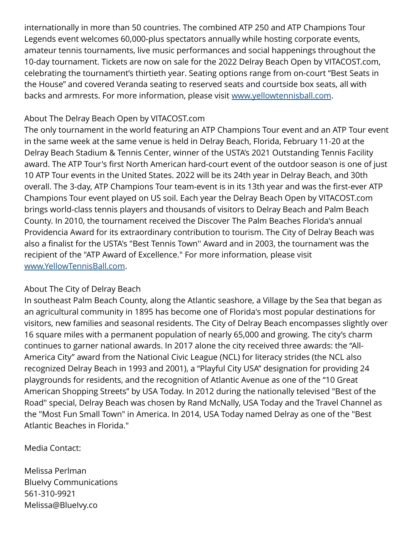internationally in more than 50 countries. The combined ATP 250 and ATP Champions Tour Legends event welcomes 60,000-plus spectators annually while hosting corporate events, amateur tennis tournaments, live music performances and social happenings throughout the 10-day tournament. Tickets are now on sale for the 2022 Delray Beach Open by VITACOST.com, celebrating the tournament's thirtieth year. Seating options range from on-court "Best Seats in the House" and covered Veranda seating to reserved seats and courtside box seats, all with backs and armrests. For more information, please visit [www.yellowtennisball.com](http://www.yellowtennisball.com).

## About The Delray Beach Open by VITACOST.com

The only tournament in the world featuring an ATP Champions Tour event and an ATP Tour event in the same week at the same venue is held in Delray Beach, Florida, February 11-20 at the Delray Beach Stadium & Tennis Center, winner of the USTA's 2021 Outstanding Tennis Facility award. The ATP Tour's first North American hard-court event of the outdoor season is one of just 10 ATP Tour events in the United States. 2022 will be its 24th year in Delray Beach, and 30th overall. The 3-day, ATP Champions Tour team-event is in its 13th year and was the first-ever ATP Champions Tour event played on US soil. Each year the Delray Beach Open by VITACOST.com brings world-class tennis players and thousands of visitors to Delray Beach and Palm Beach County. In 2010, the tournament received the Discover The Palm Beaches Florida's annual Providencia Award for its extraordinary contribution to tourism. The City of Delray Beach was also a finalist for the USTA's "Best Tennis Town'' Award and in 2003, the tournament was the recipient of the "ATP Award of Excellence." For more information, please visit [www.YellowTennisBall.com.](http://www.YellowTennisBall.com)

## About The City of Delray Beach

In southeast Palm Beach County, along the Atlantic seashore, a Village by the Sea that began as an agricultural community in 1895 has become one of Florida's most popular destinations for visitors, new families and seasonal residents. The City of Delray Beach encompasses slightly over 16 square miles with a permanent population of nearly 65,000 and growing. The city's charm continues to garner national awards. In 2017 alone the city received three awards: the "All-America City" award from the National Civic League (NCL) for literacy strides (the NCL also recognized Delray Beach in 1993 and 2001), a "Playful City USA" designation for providing 24 playgrounds for residents, and the recognition of Atlantic Avenue as one of the "10 Great American Shopping Streets" by USA Today. In 2012 during the nationally televised "Best of the Road" special, Delray Beach was chosen by Rand McNally, USA Today and the Travel Channel as the "Most Fun Small Town" in America. In 2014, USA Today named Delray as one of the "Best Atlantic Beaches in Florida."

Media Contact:

Melissa Perlman BlueIvy Communications 561-310-9921 Melissa@BlueIvy.co